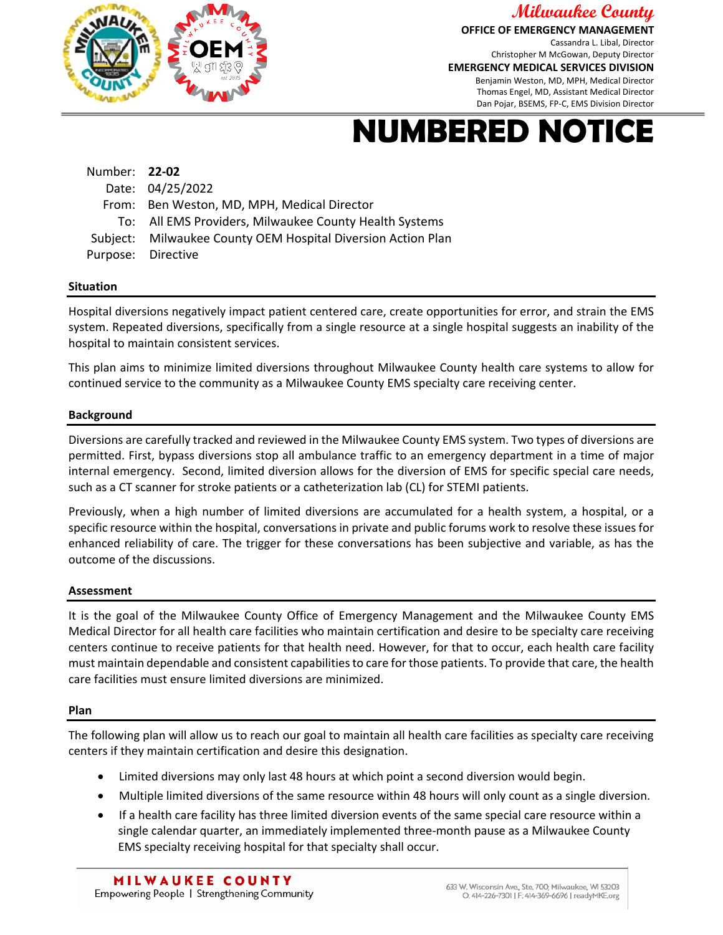

**Milwaukee County OFFICE OF EMERGENCY MANAGEMENT**

Cassandra L. Libal, Director Christopher M McGowan, Deputy Director **EMERGENCY MEDICAL SERVICES DIVISION** Benjamin Weston, MD, MPH, Medical Director Thomas Engel, MD, Assistant Medical Director Dan Pojar, BSEMS, FP-C, EMS Division Director

# **NUMBERED NOTICE**

| Number: 22-02                                                |
|--------------------------------------------------------------|
| Date: 04/25/2022                                             |
| From: Ben Weston, MD, MPH, Medical Director                  |
| To: All EMS Providers, Milwaukee County Health Systems       |
| Subject: Milwaukee County OEM Hospital Diversion Action Plan |
| Purpose: Directive                                           |
|                                                              |

## **Situation**

Hospital diversions negatively impact patient centered care, create opportunities for error, and strain the EMS system. Repeated diversions, specifically from a single resource at a single hospital suggests an inability of the hospital to maintain consistent services.

This plan aims to minimize limited diversions throughout Milwaukee County health care systems to allow for continued service to the community as a Milwaukee County EMS specialty care receiving center.

## **Background**

Diversions are carefully tracked and reviewed in the Milwaukee County EMS system. Two types of diversions are permitted. First, bypass diversions stop all ambulance traffic to an emergency department in a time of major internal emergency. Second, limited diversion allows for the diversion of EMS for specific special care needs, such as a CT scanner for stroke patients or a catheterization lab (CL) for STEMI patients.

Previously, when a high number of limited diversions are accumulated for a health system, a hospital, or a specific resource within the hospital, conversations in private and public forums work to resolve these issues for enhanced reliability of care. The trigger for these conversations has been subjective and variable, as has the outcome of the discussions.

#### **Assessment**

It is the goal of the Milwaukee County Office of Emergency Management and the Milwaukee County EMS Medical Director for all health care facilities who maintain certification and desire to be specialty care receiving centers continue to receive patients for that health need. However, for that to occur, each health care facility must maintain dependable and consistent capabilities to care for those patients. To provide that care, the health care facilities must ensure limited diversions are minimized.

#### **Plan**

The following plan will allow us to reach our goal to maintain all health care facilities as specialty care receiving centers if they maintain certification and desire this designation.

- Limited diversions may only last 48 hours at which point a second diversion would begin.
- Multiple limited diversions of the same resource within 48 hours will only count as a single diversion.
- If a health care facility has three limited diversion events of the same special care resource within a single calendar quarter, an immediately implemented three-month pause as a Milwaukee County EMS specialty receiving hospital for that specialty shall occur.